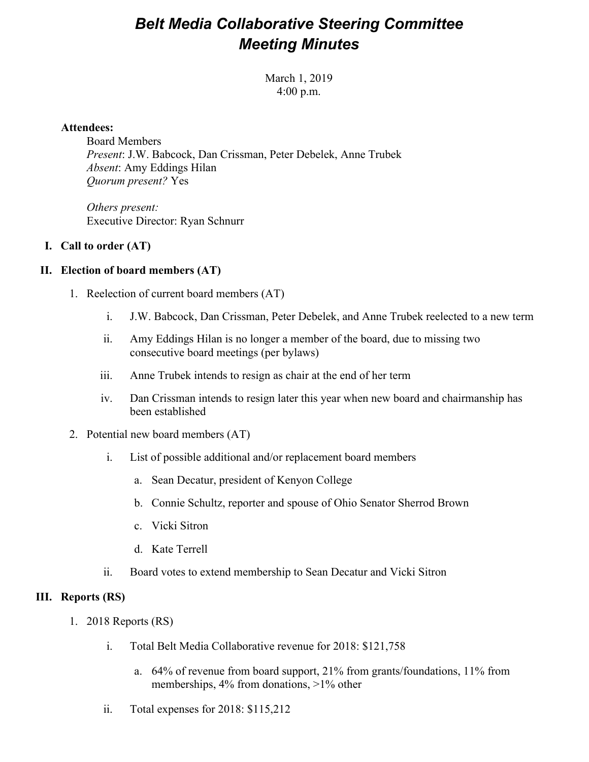## *Belt Media Collaborative Steering Committee Meeting Minutes*

March 1, 2019 4:00 p.m.

### **Attendees:**

Board Members *Present*: J.W. Babcock, Dan Crissman, Peter Debelek, Anne Trubek *Absent*: Amy Eddings Hilan *Quorum present?* Yes

*Others present:* Executive Director: Ryan Schnurr

## **I. Call to order (AT)**

## **II. Election of board members (AT)**

- 1. Reelection of current board members (AT)
	- i. J.W. Babcock, Dan Crissman, Peter Debelek, and Anne Trubek reelected to a new term
	- ii. Amy Eddings Hilan is no longer a member of the board, due to missing two consecutive board meetings (per bylaws)
	- iii. Anne Trubek intends to resign as chair at the end of her term
	- iv. Dan Crissman intends to resign later this year when new board and chairmanship has been established
- 2. Potential new board members (AT)
	- i. List of possible additional and/or replacement board members
		- a. Sean Decatur, president of Kenyon College
		- b. Connie Schultz, reporter and spouse of Ohio Senator Sherrod Brown
		- c. Vicki Sitron
		- d. Kate Terrell
	- ii. Board votes to extend membership to Sean Decatur and Vicki Sitron

### **III. Reports (RS)**

- 1. 2018 Reports (RS)
	- i. Total Belt Media Collaborative revenue for 2018: \$121,758
		- a. 64% of revenue from board support, 21% from grants/foundations, 11% from memberships, 4% from donations, >1% other
	- ii. Total expenses for 2018: \$115,212